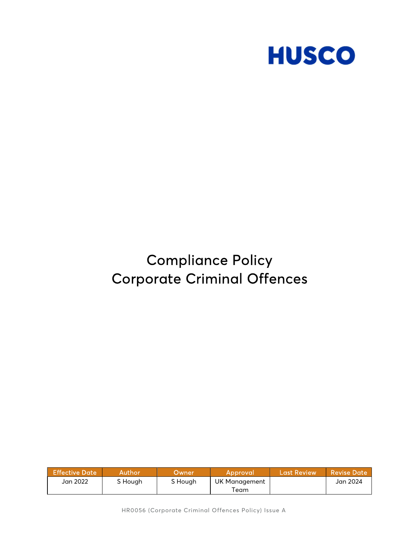

# Compliance Policy Corporate Criminal Offences

| <b>Effective Date</b> | Author  | Dwner'  | Approval      | <b>Last Review</b> | l Revise Date ' |
|-----------------------|---------|---------|---------------|--------------------|-----------------|
| Jan 2022              | S Hough | S Hough | UK Management |                    | Jan 2024        |
|                       |         |         | Team          |                    |                 |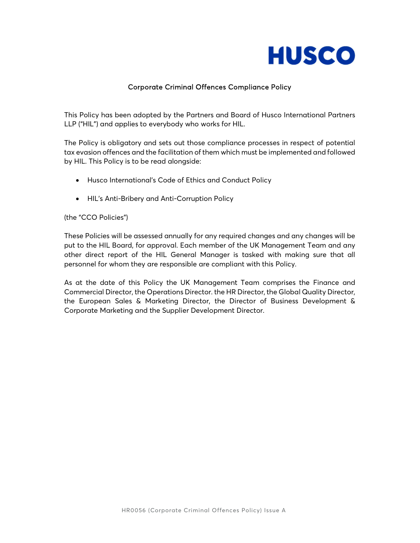

## Corporate Criminal Offences Compliance Policy

 This Policy has been adopted by the Partners and Board of Husco International Partners LLP ("HIL") and applies to everybody who works for HIL.

The Policy is obligatory and sets out those compliance processes in respect of potential tax evasion offences and the facilitation of them which must be implemented and followed by HIL. This Policy is to be read alongside:

- Husco International's Code of Ethics and Conduct Policy
- HIL's Anti-Bribery and Anti-Corruption Policy

#### (the "CCO Policies")

These Policies will be assessed annually for any required changes and any changes will be put to the HIL Board, for approval. Each member of the UK Management Team and any other direct report of the HIL General Manager is tasked with making sure that all personnel for whom they are responsible are compliant with this Policy.

As at the date of this Policy the UK Management Team comprises the Finance and Commercial Director, the Operations Director. the HR Director, the Global Quality Director, the European Sales & Marketing Director, the Director of Business Development & Corporate Marketing and the Supplier Development Director.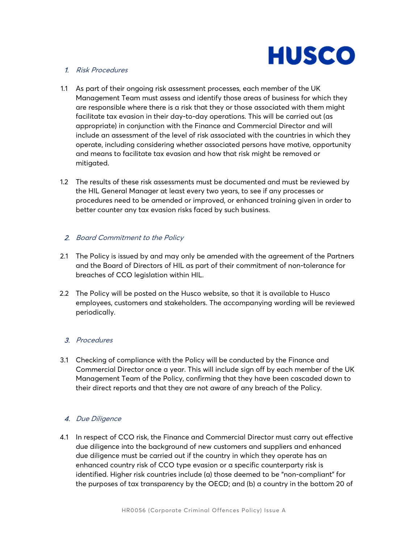

### 1. Risk Procedures

- 1.1 As part of their ongoing risk assessment processes, each member of the UK Management Team must assess and identify those areas of business for which they are responsible where there is a risk that they or those associated with them might facilitate tax evasion in their day-to-day operations. This will be carried out (as appropriate) in conjunction with the Finance and Commercial Director and will include an assessment of the level of risk associated with the countries in which they operate, including considering whether associated persons have motive, opportunity and means to facilitate tax evasion and how that risk might be removed or mitigated.
- 1.2 The results of these risk assessments must be documented and must be reviewed by the HIL General Manager at least every two years, to see if any processes or procedures need to be amended or improved, or enhanced training given in order to better counter any tax evasion risks faced by such business.

## 2. Board Commitment to the Policy

- 2.1 The Policy is issued by and may only be amended with the agreement of the Partners and the Board of Directors of HIL as part of their commitment of non-tolerance for breaches of CCO legislation within HIL.
- 2.2 The Policy will be posted on the Husco website, so that it is available to Husco employees, customers and stakeholders. The accompanying wording will be reviewed periodically.

## 3. Procedures

3.1 Checking of compliance with the Policy will be conducted by the Finance and Commercial Director once a year. This will include sign off by each member of the UK Management Team of the Policy, confirming that they have been cascaded down to their direct reports and that they are not aware of any breach of the Policy.

## 4. Due Diligence

 4.1 In respect of CCO risk, the Finance and Commercial Director must carry out effective due diligence into the background of new customers and suppliers and enhanced due diligence must be carried out if the country in which they operate has an enhanced country risk of CCO type evasion or a specific counterparty risk is identified. Higher risk countries include (a) those deemed to be "non-compliant" for the purposes of tax transparency by the OECD; and (b) a country in the bottom 20 of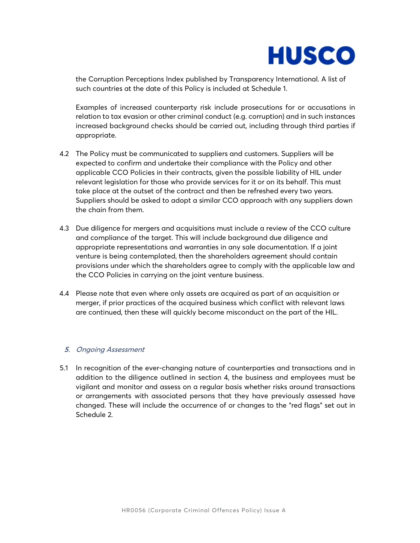

the Corruption Perceptions Index published by Transparency International. A list of such countries at the date of this Policy is included at Schedule 1.

 Examples of increased counterparty risk include prosecutions for or accusations in relation to tax evasion or other criminal conduct (e.g. corruption) and in such instances increased background checks should be carried out, including through third parties if appropriate.

- 4.2 The Policy must be communicated to suppliers and customers. Suppliers will be expected to confirm and undertake their compliance with the Policy and other applicable CCO Policies in their contracts, given the possible liability of HIL under relevant legislation for those who provide services for it or on its behalf. This must take place at the outset of the contract and then be refreshed every two years. Suppliers should be asked to adopt a similar CCO approach with any suppliers down the chain from them.
- 4.3 Due diligence for mergers and acquisitions must include a review of the CCO culture and compliance of the target. This will include background due diligence and appropriate representations and warranties in any sale documentation. If a joint venture is being contemplated, then the shareholders agreement should contain provisions under which the shareholders agree to comply with the applicable law and the CCO Policies in carrying on the joint venture business.
- 4.4 Please note that even where only assets are acquired as part of an acquisition or merger, if prior practices of the acquired business which conflict with relevant laws are continued, then these will quickly become misconduct on the part of the HIL.

#### 5. Ongoing Assessment

5.1 In recognition of the ever-changing nature of counterparties and transactions and in addition to the diligence outlined in section 4, the business and employees must be vigilant and monitor and assess on a regular basis whether risks around transactions or arrangements with associated persons that they have previously assessed have changed. These will include the occurrence of or changes to the "red flags" set out in Schedule 2.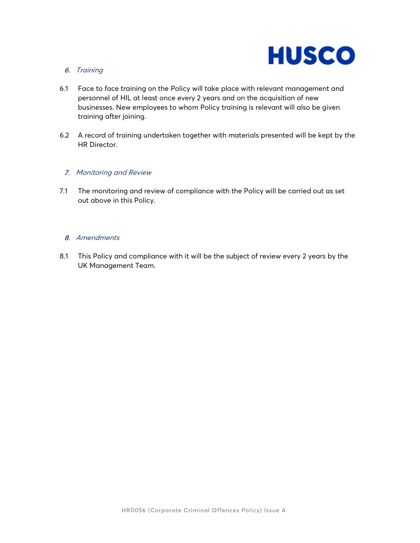

# 6. Training

- 6.1 Face to face training on the Policy will take place with relevant management and personnel of HIL at least once every 2 years and on the acquisition of new businesses. New employees to whom Policy training is relevant will also be given training after joining.
- 6.2 A record of training undertaken together with materials presented will be kept by the HR Director.

#### 7. Monitoring and Review

 7.1 The monitoring and review of compliance with the Policy will be carried out as set out above in this Policy.

## 8. Amendments

8.1 This Policy and compliance with it will be the subject of review every 2 years by the UK Management Team.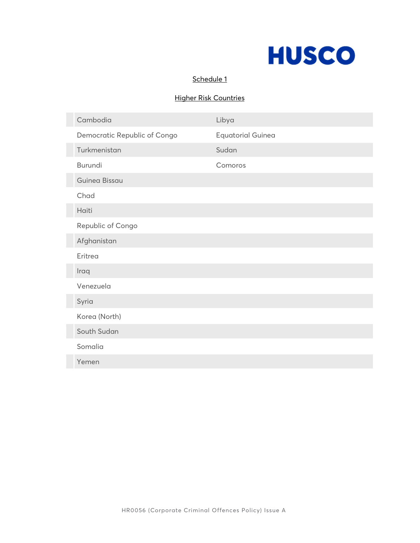

## Schedule 1

# Higher Risk Countries

| Cambodia                     | Libya                    |  |  |  |
|------------------------------|--------------------------|--|--|--|
| Democratic Republic of Congo | <b>Equatorial Guinea</b> |  |  |  |
| Turkmenistan                 | Sudan                    |  |  |  |
| <b>Burundi</b>               | Comoros                  |  |  |  |
| <b>Guinea Bissau</b>         |                          |  |  |  |
| Chad                         |                          |  |  |  |
| Haiti                        |                          |  |  |  |
| Republic of Congo            |                          |  |  |  |
| Afghanistan                  |                          |  |  |  |
| Eritrea                      |                          |  |  |  |
| Iraq                         |                          |  |  |  |
| Venezuela                    |                          |  |  |  |
| Syria                        |                          |  |  |  |
| Korea (North)                |                          |  |  |  |
| South Sudan                  |                          |  |  |  |
| Somalia                      |                          |  |  |  |
| Yemen                        |                          |  |  |  |